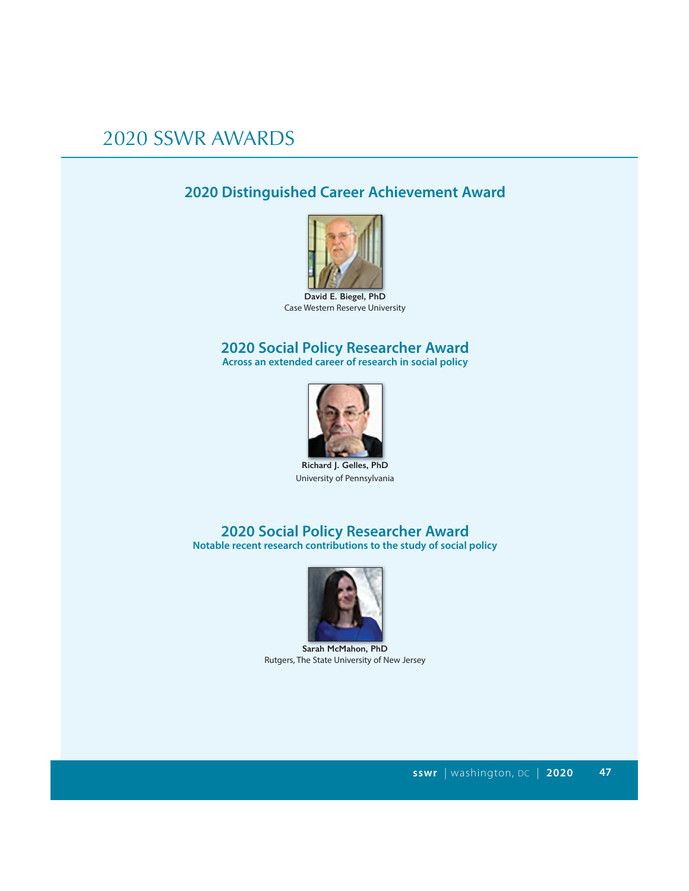### **2020 Distinguished Career Achievement Award**



**David E. Biegel, PhD** Case Western Reserve University

### **2020 Social Policy Researcher Award**

**Across an extended career of research in social policy**



**Richard J. Gelles, PhD** University of Pennsylvania

# **2020 Social Policy Researcher Award**

**Notable recent research contributions to the study of social policy**



**Sarah McMahon, PhD** Rutgers, The State University of New Jersey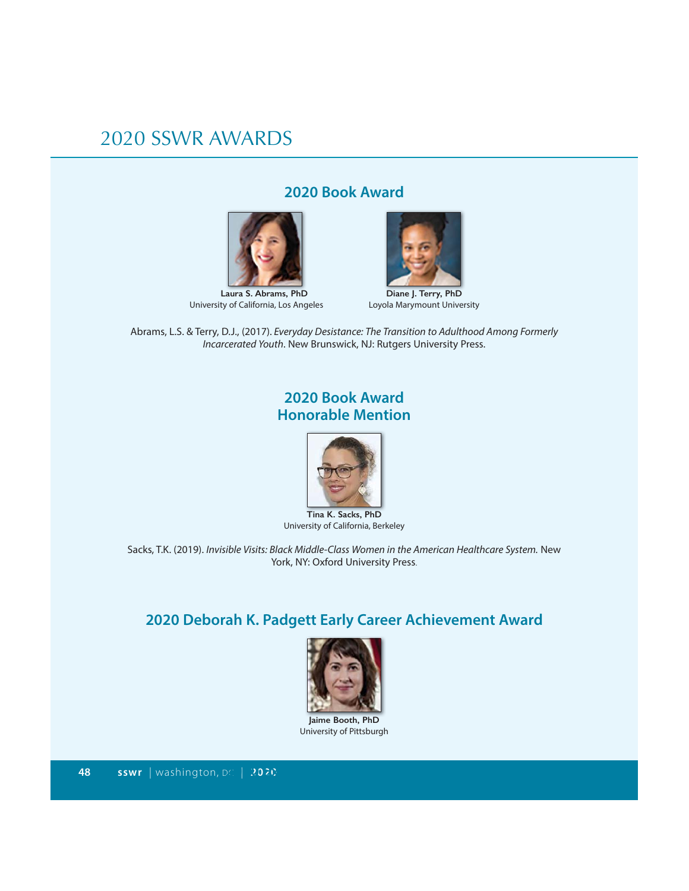#### **2020 Book Award**



University of California, Los Angeles



**Diane J. Terry, PhD** Loyola Marymount University

Abrams, L.S. & Terry, D.J., (2017). Everyday Desistance: The Transition to Adulthood Among Formerly Incarcerated Youth. New Brunswick, NJ: Rutgers University Press.

#### **2020 Book Award Honorable Mention**



**Tina K. Sacks, PhD** University of California, Berkeley

Sacks, T.K. (2019). Invisible Visits: Black Middle-Class Women in the American Healthcare System. New York, NY: Oxford University Press.

### **2020 Deborah K. Padgett Early Career Achievement Award**



**Jaime Booth, PhD** University of Pittsburgh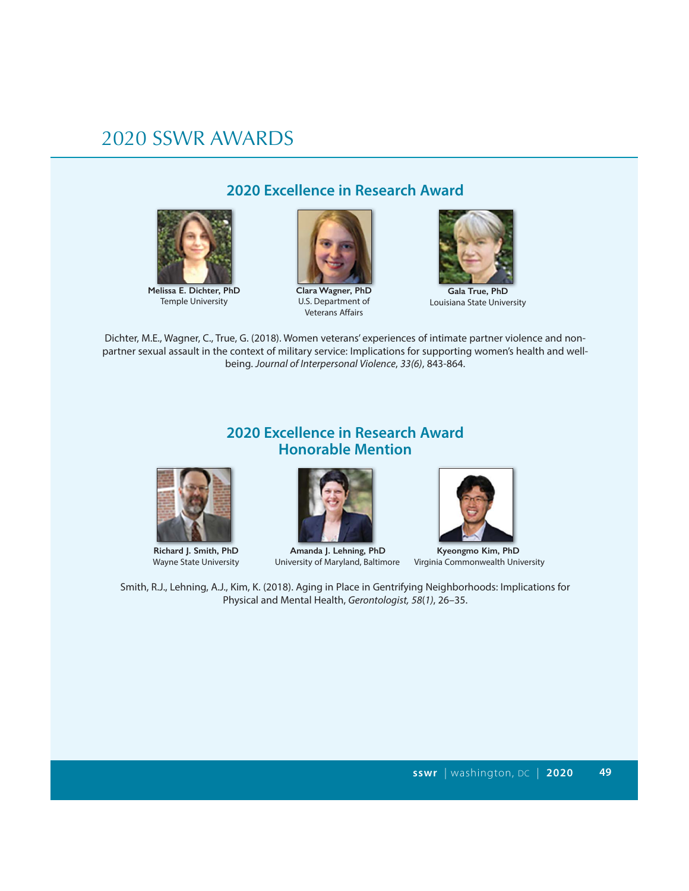

**Melissa E. Dichter, PhD** Temple University

#### **2020 Excellence in Research Award**



**Clara Wagner, PhD** U.S. Department of Veterans Affairs



**Gala True, PhD** Louisiana State University

Dichter, M.E., Wagner, C., True, G. (2018). Women veterans' experiences of intimate partner violence and nonpartner sexual assault in the context of military service: Implications for supporting women's health and wellbeing. Journal of Interpersonal Violence, 33(6), 843-864.

#### **2020 Excellence in Research Award Honorable Mention**





 **Richard J. Smith, PhD**<br> **Amanda J. Lehning, PhD**<br> **CHOLO** *Kyeongmo Kim, PhD*<br> **CHOLO** *Kenning, PhD***<br>** *Kyeongmo Kim, PhD***<br>** *Wayne State University***<br>
<b>CHOLO** *Kenning, PhD* 



Virginia Commonwealth University

Smith, R.J., Lehning, A.J., Kim, K. (2018). Aging in Place in Gentrifying Neighborhoods: Implications for Physical and Mental Health, Gerontologist, 58(1), 26–35.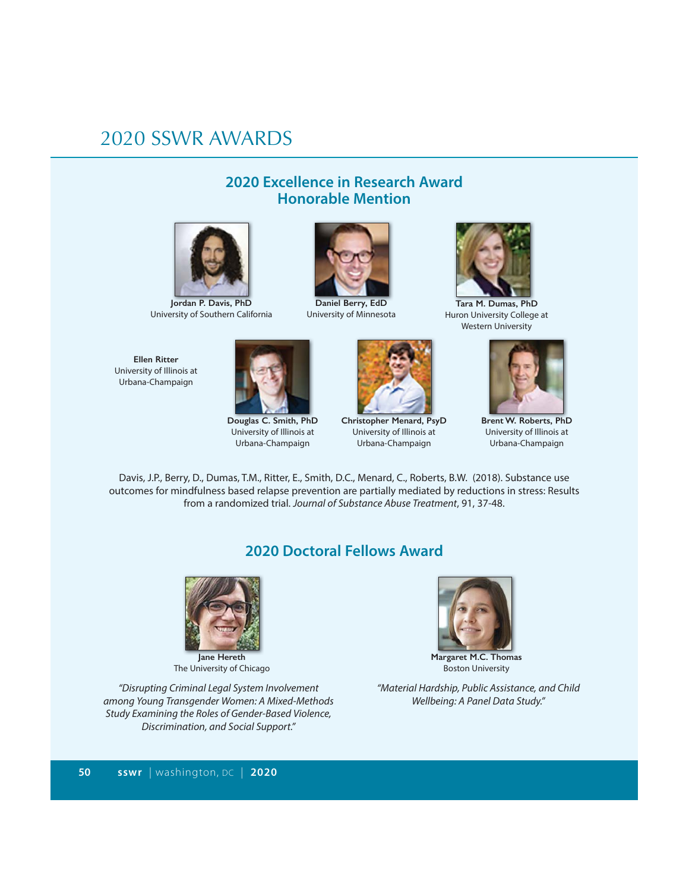#### **2020 Excellence in Research Award Honorable Mention**



**Jordan P. Davis, PhD** University of Southern California





**Douglas C. Smith, PhD** University of Illinois at Urbana-Champaign



**Daniel Berry, EdD** University of Minnesota



**Christopher Menard, PsyD** University of Illinois at Urbana-Champaign



**Tara M. Dumas, PhD** Huron University College at Western University



**Brent W. Roberts, PhD** University of Illinois at Urbana-Champaign

Davis, J.P., Berry, D., Dumas, T.M., Ritter, E., Smith, D.C., Menard, C., Roberts, B.W. (2018). Substance use outcomes for mindfulness based relapse prevention are partially mediated by reductions in stress: Results from a randomized trial. Journal of Substance Abuse Treatment, 91, 37-48.

#### **2020 Doctoral Fellows Award**



The University of Chicago

"Disrupting Criminal Legal System Involvement among Young Transgender Women: A Mixed-Methods Study Examining the Roles of Gender-Based Violence, Discrimination, and Social Support."



**Margaret M.C. Thomas** Boston University

"Material Hardship, Public Assistance, and Child Wellbeing: A Panel Data Study."